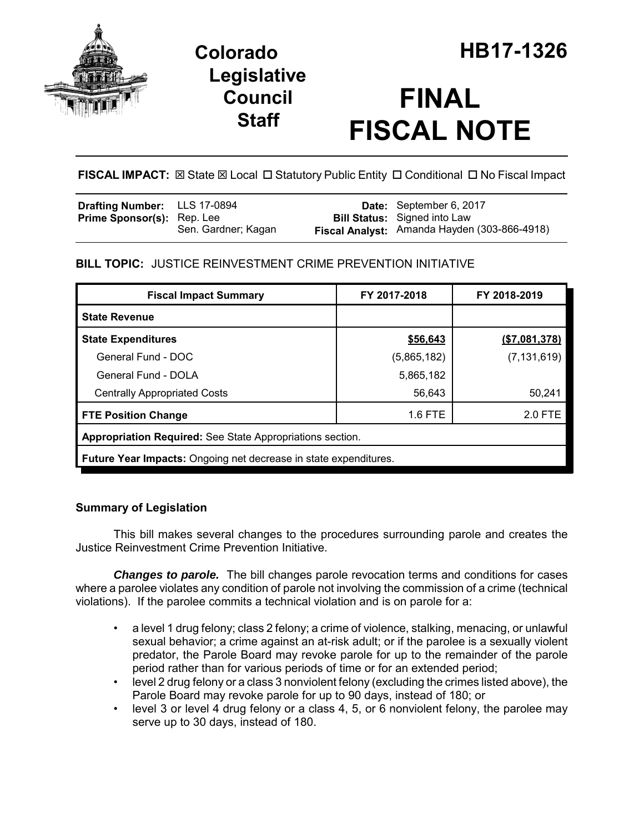

# **Legislative Council Staff**

# **FINAL FISCAL NOTE**

FISCAL IMPACT:  $\boxtimes$  State  $\boxtimes$  Local  $\Box$  Statutory Public Entity  $\Box$  Conditional  $\Box$  No Fiscal Impact

| <b>Drafting Number:</b> LLS 17-0894 |                     | <b>Date:</b> September 6, 2017               |
|-------------------------------------|---------------------|----------------------------------------------|
| <b>Prime Sponsor(s): Rep. Lee</b>   |                     | <b>Bill Status:</b> Signed into Law          |
|                                     | Sen. Gardner; Kagan | Fiscal Analyst: Amanda Hayden (303-866-4918) |

## **BILL TOPIC:** JUSTICE REINVESTMENT CRIME PREVENTION INITIATIVE

| <b>Fiscal Impact Summary</b>                                            | FY 2017-2018 | FY 2018-2019  |  |  |  |
|-------------------------------------------------------------------------|--------------|---------------|--|--|--|
| <b>State Revenue</b>                                                    |              |               |  |  |  |
| <b>State Expenditures</b>                                               | \$56,643     | (\$7,081,378) |  |  |  |
| General Fund - DOC                                                      | (5,865,182)  | (7, 131, 619) |  |  |  |
| General Fund - DOLA                                                     | 5,865,182    |               |  |  |  |
| <b>Centrally Appropriated Costs</b>                                     | 56,643       | 50,241        |  |  |  |
| <b>FTE Position Change</b>                                              | 1.6 FTE      | 2.0 FTE       |  |  |  |
| Appropriation Required: See State Appropriations section.               |              |               |  |  |  |
| <b>Future Year Impacts:</b> Ongoing net decrease in state expenditures. |              |               |  |  |  |

## **Summary of Legislation**

This bill makes several changes to the procedures surrounding parole and creates the Justice Reinvestment Crime Prevention Initiative.

*Changes to parole.* The bill changes parole revocation terms and conditions for cases where a parolee violates any condition of parole not involving the commission of a crime (technical violations). If the parolee commits a technical violation and is on parole for a:

- a level 1 drug felony; class 2 felony; a crime of violence, stalking, menacing, or unlawful sexual behavior; a crime against an at-risk adult; or if the parolee is a sexually violent predator, the Parole Board may revoke parole for up to the remainder of the parole period rather than for various periods of time or for an extended period;
- level 2 drug felony or a class 3 nonviolent felony (excluding the crimes listed above), the Parole Board may revoke parole for up to 90 days, instead of 180; or
- level 3 or level 4 drug felony or a class 4, 5, or 6 nonviolent felony, the parolee may serve up to 30 days, instead of 180.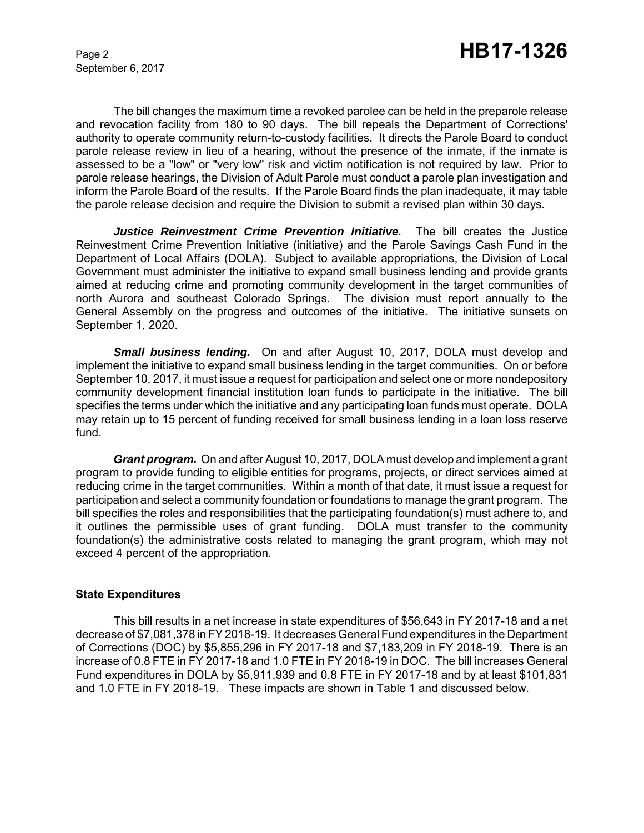September 6, 2017

The bill changes the maximum time a revoked parolee can be held in the preparole release and revocation facility from 180 to 90 days. The bill repeals the Department of Corrections' authority to operate community return-to-custody facilities. It directs the Parole Board to conduct parole release review in lieu of a hearing, without the presence of the inmate, if the inmate is assessed to be a "low" or "very low" risk and victim notification is not required by law. Prior to parole release hearings, the Division of Adult Parole must conduct a parole plan investigation and inform the Parole Board of the results. If the Parole Board finds the plan inadequate, it may table the parole release decision and require the Division to submit a revised plan within 30 days.

*Justice Reinvestment Crime Prevention Initiative.* The bill creates the Justice Reinvestment Crime Prevention Initiative (initiative) and the Parole Savings Cash Fund in the Department of Local Affairs (DOLA). Subject to available appropriations, the Division of Local Government must administer the initiative to expand small business lending and provide grants aimed at reducing crime and promoting community development in the target communities of north Aurora and southeast Colorado Springs. The division must report annually to the General Assembly on the progress and outcomes of the initiative. The initiative sunsets on September 1, 2020.

*Small business lending.* On and after August 10, 2017, DOLA must develop and implement the initiative to expand small business lending in the target communities. On or before September 10, 2017, it must issue a request for participation and select one or more nondepository community development financial institution loan funds to participate in the initiative. The bill specifies the terms under which the initiative and any participating loan funds must operate. DOLA may retain up to 15 percent of funding received for small business lending in a loan loss reserve fund.

*Grant program.* On and after August 10, 2017, DOLA must develop and implement a grant program to provide funding to eligible entities for programs, projects, or direct services aimed at reducing crime in the target communities. Within a month of that date, it must issue a request for participation and select a community foundation or foundations to manage the grant program. The bill specifies the roles and responsibilities that the participating foundation(s) must adhere to, and it outlines the permissible uses of grant funding. DOLA must transfer to the community foundation(s) the administrative costs related to managing the grant program, which may not exceed 4 percent of the appropriation.

#### **State Expenditures**

This bill results in a net increase in state expenditures of \$56,643 in FY 2017-18 and a net decrease of \$7,081,378 in FY 2018-19. It decreases General Fund expenditures in the Department of Corrections (DOC) by \$5,855,296 in FY 2017-18 and \$7,183,209 in FY 2018-19. There is an increase of 0.8 FTE in FY 2017-18 and 1.0 FTE in FY 2018-19 in DOC. The bill increases General Fund expenditures in DOLA by \$5,911,939 and 0.8 FTE in FY 2017-18 and by at least \$101,831 and 1.0 FTE in FY 2018-19. These impacts are shown in Table 1 and discussed below.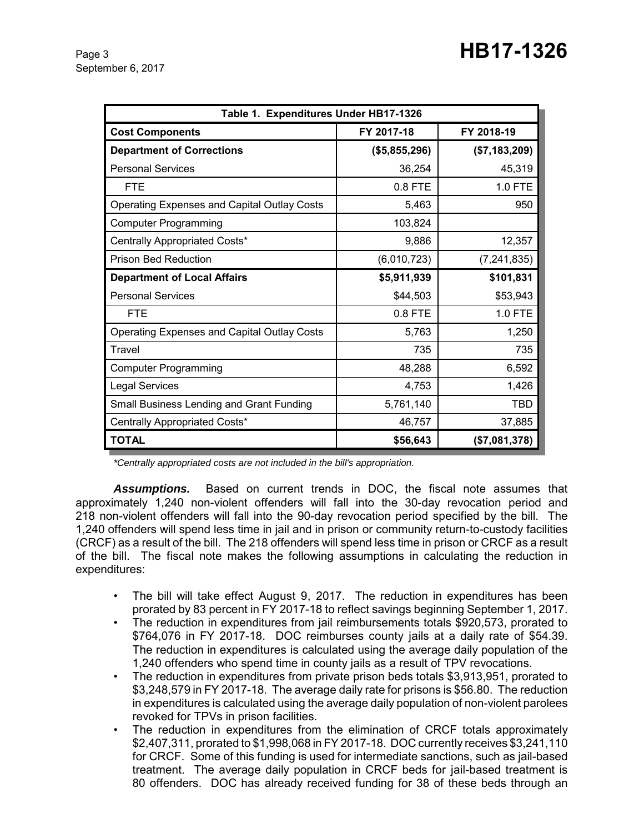| Table 1. Expenditures Under HB17-1326              |               |                |  |  |  |  |
|----------------------------------------------------|---------------|----------------|--|--|--|--|
| <b>Cost Components</b>                             | FY 2017-18    | FY 2018-19     |  |  |  |  |
| <b>Department of Corrections</b>                   | (\$5,855,296) | (\$7,183,209)  |  |  |  |  |
| <b>Personal Services</b>                           | 36,254        | 45,319         |  |  |  |  |
| <b>FTE</b>                                         | $0.8$ FTE     | <b>1.0 FTE</b> |  |  |  |  |
| <b>Operating Expenses and Capital Outlay Costs</b> | 5,463         | 950            |  |  |  |  |
| <b>Computer Programming</b>                        | 103,824       |                |  |  |  |  |
| Centrally Appropriated Costs*                      | 9,886         | 12,357         |  |  |  |  |
| <b>Prison Bed Reduction</b>                        | (6,010,723)   | (7, 241, 835)  |  |  |  |  |
| <b>Department of Local Affairs</b>                 | \$5,911,939   | \$101,831      |  |  |  |  |
| <b>Personal Services</b>                           | \$44,503      | \$53,943       |  |  |  |  |
| <b>FTE</b>                                         | 0.8 FTE       | 1.0 FTE        |  |  |  |  |
| <b>Operating Expenses and Capital Outlay Costs</b> | 5,763         | 1,250          |  |  |  |  |
| Travel                                             | 735           | 735            |  |  |  |  |
| <b>Computer Programming</b>                        | 48,288        | 6,592          |  |  |  |  |
| <b>Legal Services</b>                              | 4,753         | 1,426          |  |  |  |  |
| Small Business Lending and Grant Funding           | 5,761,140     | TBD            |  |  |  |  |
| Centrally Appropriated Costs*                      | 46,757        | 37,885         |  |  |  |  |
| <b>TOTAL</b>                                       | \$56,643      | (\$7,081,378)  |  |  |  |  |

*\*Centrally appropriated costs are not included in the bill's appropriation.*

*Assumptions.* Based on current trends in DOC, the fiscal note assumes that approximately 1,240 non-violent offenders will fall into the 30-day revocation period and 218 non-violent offenders will fall into the 90-day revocation period specified by the bill. The 1,240 offenders will spend less time in jail and in prison or community return-to-custody facilities (CRCF) as a result of the bill. The 218 offenders will spend less time in prison or CRCF as a result of the bill. The fiscal note makes the following assumptions in calculating the reduction in expenditures:

- The bill will take effect August 9, 2017. The reduction in expenditures has been prorated by 83 percent in FY 2017-18 to reflect savings beginning September 1, 2017.
- The reduction in expenditures from jail reimbursements totals \$920,573, prorated to \$764,076 in FY 2017-18. DOC reimburses county jails at a daily rate of \$54.39. The reduction in expenditures is calculated using the average daily population of the 1,240 offenders who spend time in county jails as a result of TPV revocations.
- The reduction in expenditures from private prison beds totals \$3,913,951, prorated to \$3,248,579 in FY 2017-18. The average daily rate for prisons is \$56.80. The reduction in expenditures is calculated using the average daily population of non-violent parolees revoked for TPVs in prison facilities.
- The reduction in expenditures from the elimination of CRCF totals approximately \$2,407,311, prorated to \$1,998,068 in FY 2017-18. DOC currently receives \$3,241,110 for CRCF. Some of this funding is used for intermediate sanctions, such as jail-based treatment. The average daily population in CRCF beds for jail-based treatment is 80 offenders. DOC has already received funding for 38 of these beds through an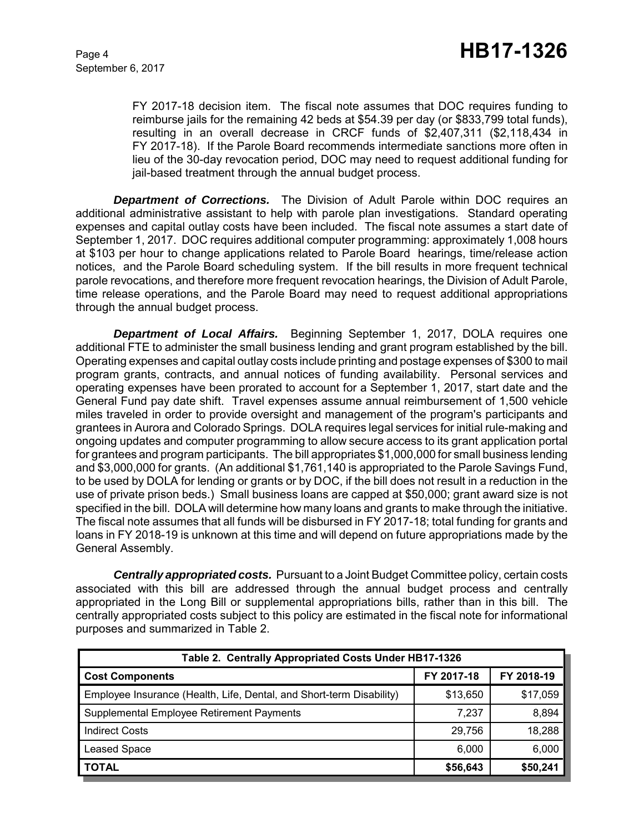FY 2017-18 decision item. The fiscal note assumes that DOC requires funding to reimburse jails for the remaining 42 beds at \$54.39 per day (or \$833,799 total funds), resulting in an overall decrease in CRCF funds of \$2,407,311 (\$2,118,434 in FY 2017-18). If the Parole Board recommends intermediate sanctions more often in lieu of the 30-day revocation period, DOC may need to request additional funding for jail-based treatment through the annual budget process.

**Department of Corrections.** The Division of Adult Parole within DOC requires an additional administrative assistant to help with parole plan investigations. Standard operating expenses and capital outlay costs have been included. The fiscal note assumes a start date of September 1, 2017. DOC requires additional computer programming: approximately 1,008 hours at \$103 per hour to change applications related to Parole Board hearings, time/release action notices, and the Parole Board scheduling system. If the bill results in more frequent technical parole revocations, and therefore more frequent revocation hearings, the Division of Adult Parole, time release operations, and the Parole Board may need to request additional appropriations through the annual budget process.

*Department of Local Affairs.* Beginning September 1, 2017, DOLA requires one additional FTE to administer the small business lending and grant program established by the bill. Operating expenses and capital outlay costs include printing and postage expenses of \$300 to mail program grants, contracts, and annual notices of funding availability. Personal services and operating expenses have been prorated to account for a September 1, 2017, start date and the General Fund pay date shift. Travel expenses assume annual reimbursement of 1,500 vehicle miles traveled in order to provide oversight and management of the program's participants and grantees in Aurora and Colorado Springs. DOLA requires legal services for initial rule-making and ongoing updates and computer programming to allow secure access to its grant application portal for grantees and program participants. The bill appropriates \$1,000,000 for small business lending and \$3,000,000 for grants. (An additional \$1,761,140 is appropriated to the Parole Savings Fund, to be used by DOLA for lending or grants or by DOC, if the bill does not result in a reduction in the use of private prison beds.) Small business loans are capped at \$50,000; grant award size is not specified in the bill. DOLA will determine how many loans and grants to make through the initiative. The fiscal note assumes that all funds will be disbursed in FY 2017-18; total funding for grants and loans in FY 2018-19 is unknown at this time and will depend on future appropriations made by the General Assembly.

*Centrally appropriated costs.* Pursuant to a Joint Budget Committee policy, certain costs associated with this bill are addressed through the annual budget process and centrally appropriated in the Long Bill or supplemental appropriations bills, rather than in this bill. The centrally appropriated costs subject to this policy are estimated in the fiscal note for informational purposes and summarized in Table 2.

| Table 2. Centrally Appropriated Costs Under HB17-1326                |            |            |  |  |  |  |
|----------------------------------------------------------------------|------------|------------|--|--|--|--|
| <b>Cost Components</b>                                               | FY 2017-18 | FY 2018-19 |  |  |  |  |
| Employee Insurance (Health, Life, Dental, and Short-term Disability) | \$13,650   | \$17,059   |  |  |  |  |
| Supplemental Employee Retirement Payments                            | 7.237      | 8,894      |  |  |  |  |
| <b>Indirect Costs</b>                                                | 29.756     | 18,288     |  |  |  |  |
| <b>Leased Space</b>                                                  | 6,000      | 6,000      |  |  |  |  |
| <b>TOTAL</b>                                                         | \$56,643   | \$50,241   |  |  |  |  |